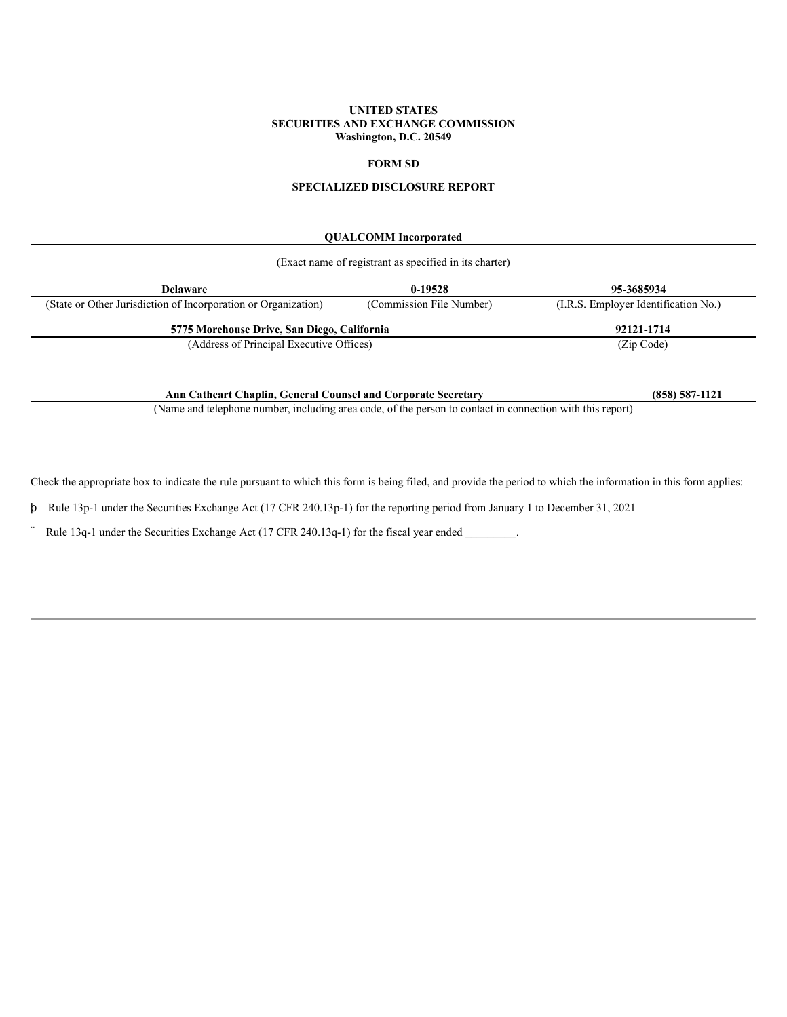# **UNITED STATES SECURITIES AND EXCHANGE COMMISSION Washington, D.C. 20549**

# **FORM SD**

# **SPECIALIZED DISCLOSURE REPORT**

# **QUALCOMM Incorporated**

| (Exact name of registrant as specified in its charter)         |                          |                                      |  |  |
|----------------------------------------------------------------|--------------------------|--------------------------------------|--|--|
| $0-19528$<br>95-3685934<br><b>Delaware</b>                     |                          |                                      |  |  |
| (State or Other Jurisdiction of Incorporation or Organization) | (Commission File Number) | (I.R.S. Employer Identification No.) |  |  |
| 5775 Morehouse Drive, San Diego, California                    |                          | 92121-1714                           |  |  |
| (Address of Principal Executive Offices)                       |                          | (Zip Code)                           |  |  |
|                                                                |                          |                                      |  |  |

**Ann Cathcart Chaplin, General Counsel and Corporate Secretary (858) 587-1121**

(Name and telephone number, including area code, of the person to contact in connection with this report)

Check the appropriate box to indicate the rule pursuant to which this form is being filed, and provide the period to which the information in this form applies:

þ Rule 13p-1 under the Securities Exchange Act (17 CFR 240.13p-1) for the reporting period from January 1 to December 31, 2021

Rule 13q-1 under the Securities Exchange Act (17 CFR 240.13q-1) for the fiscal year ended \_\_\_\_\_\_\_\_.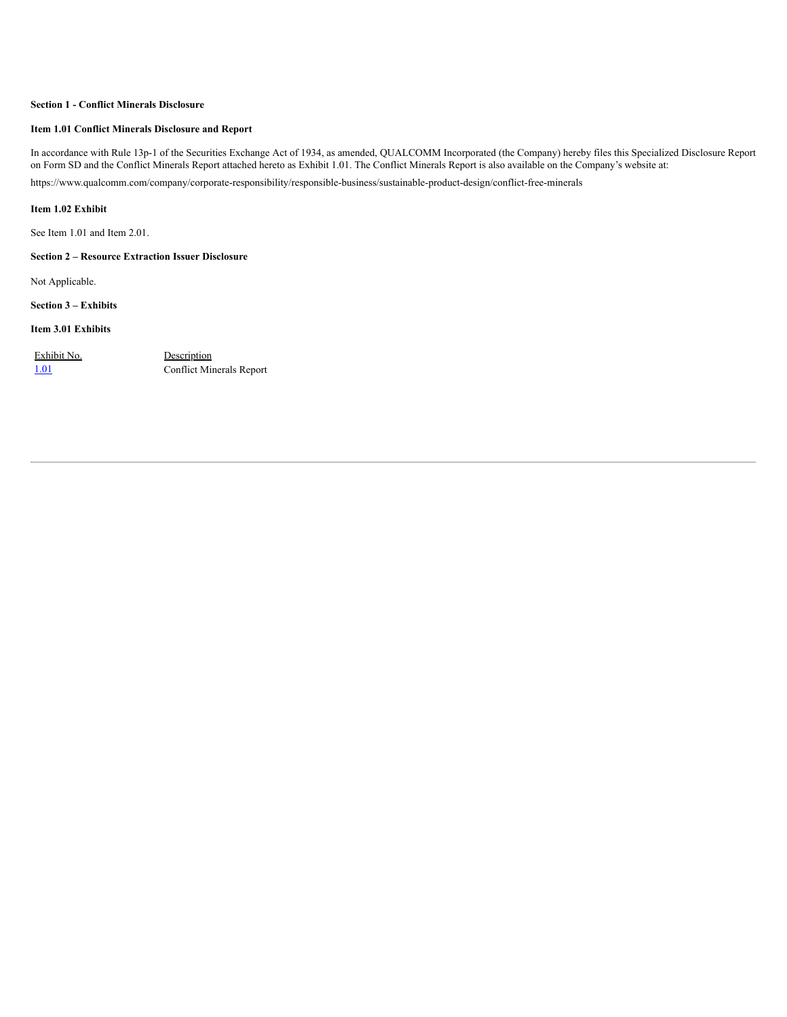# **Section 1 - Conflict Minerals Disclosure**

# **Item 1.01 Conflict Minerals Disclosure and Report**

In accordance with Rule 13p-1 of the Securities Exchange Act of 1934, as amended, QUALCOMM Incorporated (the Company) hereby files this Specialized Disclosure Report on Form SD and the Conflict Minerals Report attached hereto as Exhibit 1.01. The Conflict Minerals Report is also available on the Company's website at: https://www.qualcomm.com/company/corporate-responsibility/responsible-business/sustainable-product-design/conflict-free-minerals

# **Item 1.02 Exhibit**

See Item 1.01 and Item 2.01.

# **Section 2 – Resource Extraction Issuer Disclosure**

Not Applicable.

**Section 3 – Exhibits**

## **Item 3.01 Exhibits**

Exhibit No. Description

[1.01](https://s3.amazonaws.com/content.stockpr.com/qualcomm/sec/0001728949-22-000030/for_pdf/ex101-conflictmineralsrepo.htm) Conflict Minerals Report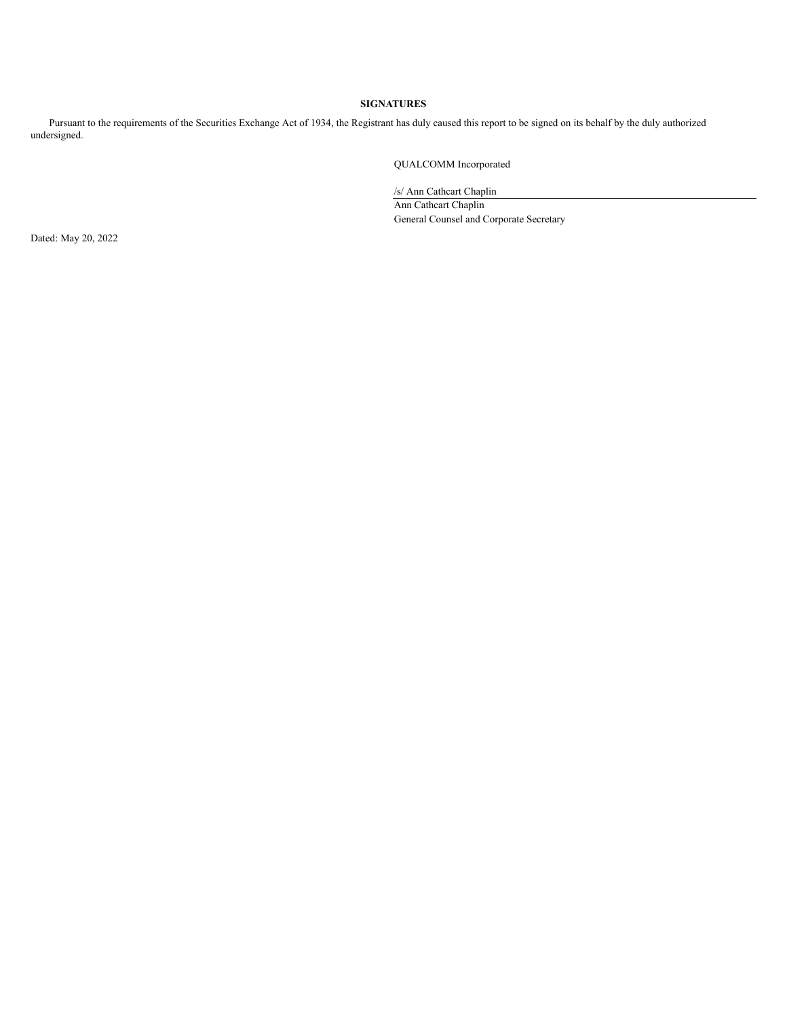# **SIGNATURES**

Pursuant to the requirements of the Securities Exchange Act of 1934, the Registrant has duly caused this report to be signed on its behalf by the duly authorized undersigned.

QUALCOMM Incorporated

/s/ Ann Cathcart Chaplin

Ann Cathcart Chaplin General Counsel and Corporate Secretary

Dated: May 20, 2022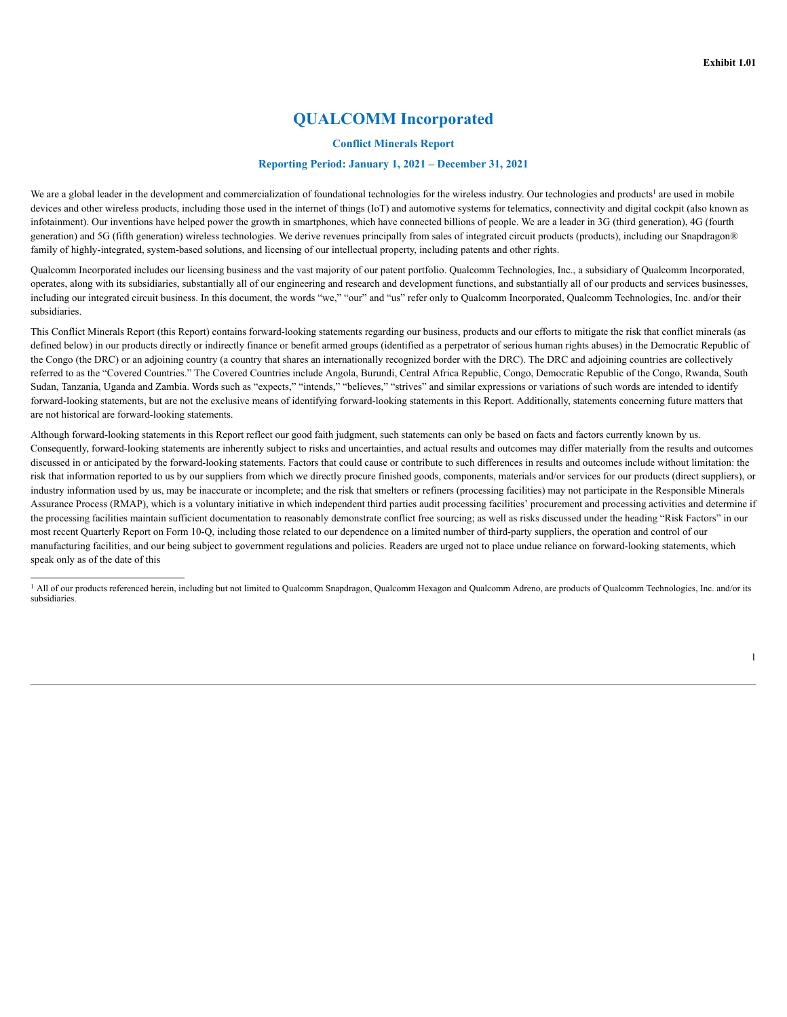# **QUALCOMM Incorporated**

## **Conflict Minerals Report**

# **Reporting Period: January 1, 2021 – December 31, 2021**

We are a global leader in the development and commercialization of foundational technologies for the wireless industry. Our technologies and products<sup>1</sup> are used in mobile devices and other wireless products, including those used in the internet of things (IoT) and automotive systems for telematics, connectivity and digital cockpit (also known as infotainment). Our inventions have helped power the growth in smartphones, which have connected billions of people. We are a leader in 3G (third generation), 4G (fourth generation) and 5G (fifth generation) wireless technologies. We derive revenues principally from sales of integrated circuit products (products), including our Snapdragon® family of highly-integrated, system-based solutions, and licensing of our intellectual property, including patents and other rights.

Qualcomm Incorporated includes our licensing business and the vast majority of our patent portfolio. Qualcomm Technologies, Inc., a subsidiary of Qualcomm Incorporated, operates, along with its subsidiaries, substantially all of our engineering and research and development functions, and substantially all of our products and services businesses, including our integrated circuit business. In this document, the words "we," "our" and "us" refer only to Qualcomm Incorporated, Qualcomm Technologies, Inc. and/or their subsidiaries.

This Conflict Minerals Report (this Report) contains forward-looking statements regarding our business, products and our efforts to mitigate the risk that conflict minerals (as defined below) in our products directly or indirectly finance or benefit armed groups (identified as a perpetrator of serious human rights abuses) in the Democratic Republic of the Congo (the DRC) or an adjoining country (a country that shares an internationally recognized border with the DRC). The DRC and adjoining countries are collectively referred to as the "Covered Countries." The Covered Countries include Angola, Burundi, Central Africa Republic, Congo, Democratic Republic of the Congo, Rwanda, South Sudan, Tanzania, Uganda and Zambia. Words such as "expects," "intends," "believes," "strives" and similar expressions or variations of such words are intended to identify forward-looking statements, but are not the exclusive means of identifying forward-looking statements in this Report. Additionally, statements concerning future matters that are not historical are forward-looking statements.

Although forward-looking statements in this Report reflect our good faith judgment, such statements can only be based on facts and factors currently known by us. Consequently, forward-looking statements are inherently subject to risks and uncertainties, and actual results and outcomes may differ materially from the results and outcomes discussed in or anticipated by the forward-looking statements. Factors that could cause or contribute to such differences in results and outcomes include without limitation: the risk that information reported to us by our suppliers from which we directly procure finished goods, components, materials and/or services for our products (direct suppliers), or industry information used by us, may be inaccurate or incomplete; and the risk that smelters or refiners (processing facilities) may not participate in the Responsible Minerals Assurance Process (RMAP), which is a voluntary initiative in which independent third parties audit processing facilities' procurement and processing activities and determine if the processing facilities maintain sufficient documentation to reasonably demonstrate conflict free sourcing; as well as risks discussed under the heading "Risk Factors" in our most recent Quarterly Report on Form 10-Q, including those related to our dependence on a limited number of third-party suppliers, the operation and control of our manufacturing facilities, and our being subject to government regulations and policies. Readers are urged not to place undue reliance on forward-looking statements, which speak only as of the date of this

<sup>&</sup>lt;sup>1</sup> All of our products referenced herein, including but not limited to Qualcomm Snapdragon, Qualcomm Hexagon and Qualcomm Adreno, are products of Qualcomm Technologies, Inc. and/or its subsidiaries.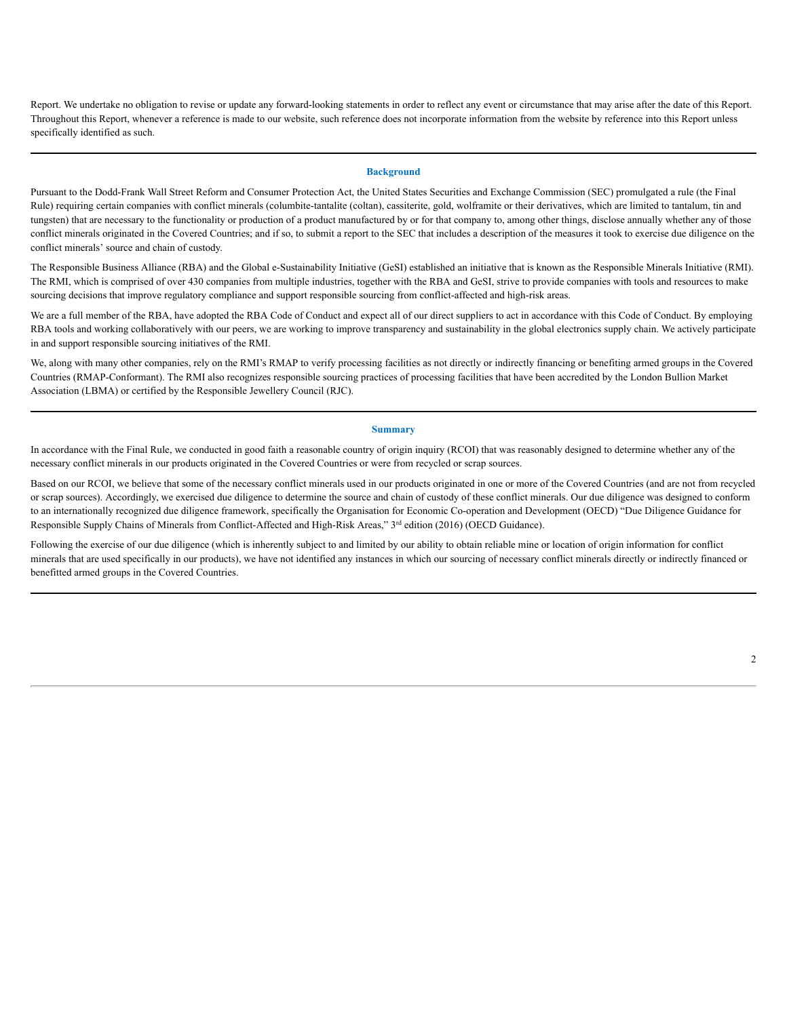Report. We undertake no obligation to revise or update any forward-looking statements in order to reflect any event or circumstance that may arise after the date of this Report. Throughout this Report, whenever a reference is made to our website, such reference does not incorporate information from the website by reference into this Report unless specifically identified as such.

## **Background**

Pursuant to the Dodd-Frank Wall Street Reform and Consumer Protection Act, the United States Securities and Exchange Commission (SEC) promulgated a rule (the Final Rule) requiring certain companies with conflict minerals (columbite-tantalite (coltan), cassiterite, gold, wolframite or their derivatives, which are limited to tantalum, tin and tungsten) that are necessary to the functionality or production of a product manufactured by or for that company to, among other things, disclose annually whether any of those conflict minerals originated in the Covered Countries; and if so, to submit a report to the SEC that includes a description of the measures it took to exercise due diligence on the conflict minerals' source and chain of custody.

The Responsible Business Alliance (RBA) and the Global e-Sustainability Initiative (GeSI) established an initiative that is known as the Responsible Minerals Initiative (RMI). The RMI, which is comprised of over 430 companies from multiple industries, together with the RBA and GeSI, strive to provide companies with tools and resources to make sourcing decisions that improve regulatory compliance and support responsible sourcing from conflict-affected and high-risk areas.

We are a full member of the RBA, have adopted the RBA Code of Conduct and expect all of our direct suppliers to act in accordance with this Code of Conduct. By employing RBA tools and working collaboratively with our peers, we are working to improve transparency and sustainability in the global electronics supply chain. We actively participate in and support responsible sourcing initiatives of the RMI.

We, along with many other companies, rely on the RMI's RMAP to verify processing facilities as not directly or indirectly financing or benefiting armed groups in the Covered Countries (RMAP-Conformant). The RMI also recognizes responsible sourcing practices of processing facilities that have been accredited by the London Bullion Market Association (LBMA) or certified by the Responsible Jewellery Council (RJC).

#### **Summary**

In accordance with the Final Rule, we conducted in good faith a reasonable country of origin inquiry (RCOI) that was reasonably designed to determine whether any of the necessary conflict minerals in our products originated in the Covered Countries or were from recycled or scrap sources.

Based on our RCOI, we believe that some of the necessary conflict minerals used in our products originated in one or more of the Covered Countries (and are not from recycled or scrap sources). Accordingly, we exercised due diligence to determine the source and chain of custody of these conflict minerals. Our due diligence was designed to conform to an internationally recognized due diligence framework, specifically the Organisation for Economic Co-operation and Development (OECD) "Due Diligence Guidance for Responsible Supply Chains of Minerals from Conflict-Affected and High-Risk Areas," 3<sup>rd</sup> edition (2016) (OECD Guidance).

Following the exercise of our due diligence (which is inherently subject to and limited by our ability to obtain reliable mine or location of origin information for conflict minerals that are used specifically in our products), we have not identified any instances in which our sourcing of necessary conflict minerals directly or indirectly financed or benefitted armed groups in the Covered Countries.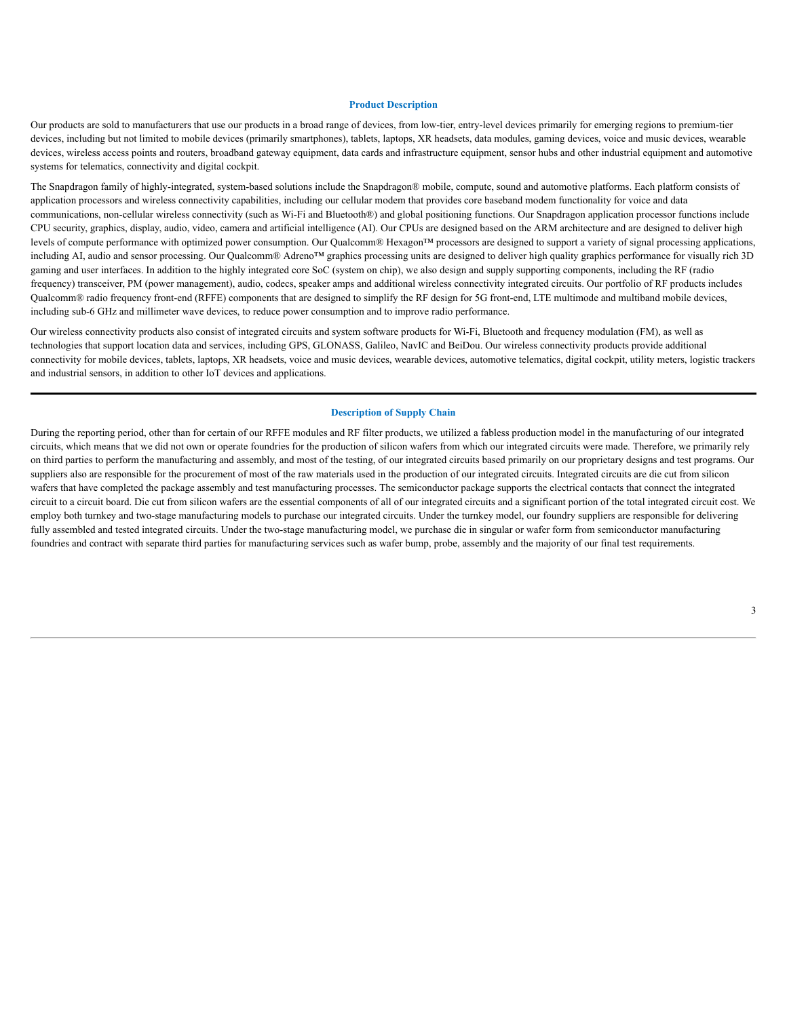## **Product Description**

Our products are sold to manufacturers that use our products in a broad range of devices, from low-tier, entry-level devices primarily for emerging regions to premium-tier devices, including but not limited to mobile devices (primarily smartphones), tablets, laptops, XR headsets, data modules, gaming devices, voice and music devices, wearable devices, wireless access points and routers, broadband gateway equipment, data cards and infrastructure equipment, sensor hubs and other industrial equipment and automotive systems for telematics, connectivity and digital cockpit.

The Snapdragon family of highly-integrated, system-based solutions include the Snapdragon® mobile, compute, sound and automotive platforms. Each platform consists of application processors and wireless connectivity capabilities, including our cellular modem that provides core baseband modem functionality for voice and data communications, non-cellular wireless connectivity (such as Wi-Fi and Bluetooth®) and global positioning functions. Our Snapdragon application processor functions include CPU security, graphics, display, audio, video, camera and artificial intelligence (AI). Our CPUs are designed based on the ARM architecture and are designed to deliver high levels of compute performance with optimized power consumption. Our Qualcomm® Hexagon™ processors are designed to support a variety of signal processing applications, including AI, audio and sensor processing. Our Qualcomm® Adreno™ graphics processing units are designed to deliver high quality graphics performance for visually rich 3D gaming and user interfaces. In addition to the highly integrated core SoC (system on chip), we also design and supply supporting components, including the RF (radio frequency) transceiver, PM (power management), audio, codecs, speaker amps and additional wireless connectivity integrated circuits. Our portfolio of RF products includes Qualcomm® radio frequency front-end (RFFE) components that are designed to simplify the RF design for 5G front-end, LTE multimode and multiband mobile devices, including sub-6 GHz and millimeter wave devices, to reduce power consumption and to improve radio performance.

Our wireless connectivity products also consist of integrated circuits and system software products for Wi-Fi, Bluetooth and frequency modulation (FM), as well as technologies that support location data and services, including GPS, GLONASS, Galileo, NavIC and BeiDou. Our wireless connectivity products provide additional connectivity for mobile devices, tablets, laptops, XR headsets, voice and music devices, wearable devices, automotive telematics, digital cockpit, utility meters, logistic trackers and industrial sensors, in addition to other IoT devices and applications.

## **Description of Supply Chain**

During the reporting period, other than for certain of our RFFE modules and RF filter products, we utilized a fabless production model in the manufacturing of our integrated circuits, which means that we did not own or operate foundries for the production of silicon wafers from which our integrated circuits were made. Therefore, we primarily rely on third parties to perform the manufacturing and assembly, and most of the testing, of our integrated circuits based primarily on our proprietary designs and test programs. Our suppliers also are responsible for the procurement of most of the raw materials used in the production of our integrated circuits. Integrated circuits are die cut from silicon wafers that have completed the package assembly and test manufacturing processes. The semiconductor package supports the electrical contacts that connect the integrated circuit to a circuit board. Die cut from silicon wafers are the essential components of all of our integrated circuits and a significant portion of the total integrated circuit cost. We employ both turnkey and two-stage manufacturing models to purchase our integrated circuits. Under the turnkey model, our foundry suppliers are responsible for delivering fully assembled and tested integrated circuits. Under the two-stage manufacturing model, we purchase die in singular or wafer form from semiconductor manufacturing foundries and contract with separate third parties for manufacturing services such as wafer bump, probe, assembly and the majority of our final test requirements.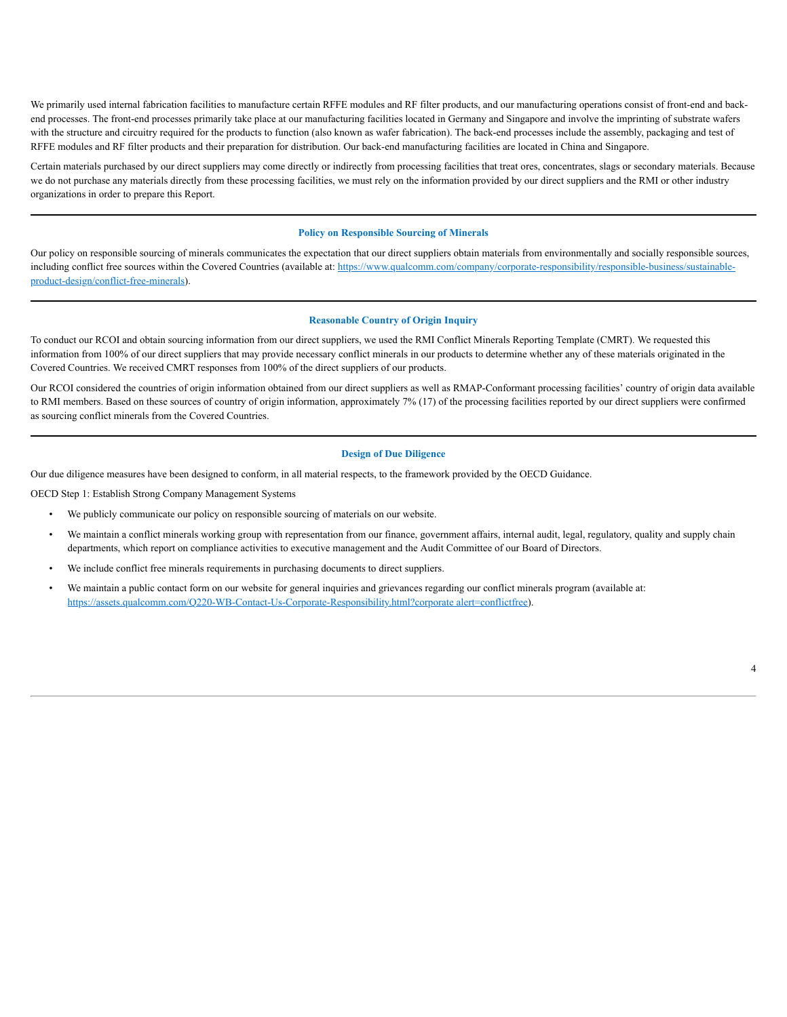We primarily used internal fabrication facilities to manufacture certain RFFE modules and RF filter products, and our manufacturing operations consist of front-end and backend processes. The front-end processes primarily take place at our manufacturing facilities located in Germany and Singapore and involve the imprinting of substrate wafers with the structure and circuitry required for the products to function (also known as wafer fabrication). The back-end processes include the assembly, packaging and test of RFFE modules and RF filter products and their preparation for distribution. Our back-end manufacturing facilities are located in China and Singapore.

Certain materials purchased by our direct suppliers may come directly or indirectly from processing facilities that treat ores, concentrates, slags or secondary materials. Because we do not purchase any materials directly from these processing facilities, we must rely on the information provided by our direct suppliers and the RMI or other industry organizations in order to prepare this Report.

## **Policy on Responsible Sourcing of Minerals**

Our policy on responsible sourcing of minerals communicates the expectation that our direct suppliers obtain materials from environmentally and socially responsible sources, including conflict free sources within the Covered Countries (available at: https://www.qualcomm.com/company/corporate-responsibility/responsible-business/sustainableproduct-design/conflict-free-minerals).

## **Reasonable Country of Origin Inquiry**

To conduct our RCOI and obtain sourcing information from our direct suppliers, we used the RMI Conflict Minerals Reporting Template (CMRT). We requested this information from 100% of our direct suppliers that may provide necessary conflict minerals in our products to determine whether any of these materials originated in the Covered Countries. We received CMRT responses from 100% of the direct suppliers of our products.

Our RCOI considered the countries of origin information obtained from our direct suppliers as well as RMAP-Conformant processing facilities' country of origin data available to RMI members. Based on these sources of country of origin information, approximately 7% (17) of the processing facilities reported by our direct suppliers were confirmed as sourcing conflict minerals from the Covered Countries.

## **Design of Due Diligence**

Our due diligence measures have been designed to conform, in all material respects, to the framework provided by the OECD Guidance.

OECD Step 1: Establish Strong Company Management Systems

- We publicly communicate our policy on responsible sourcing of materials on our website.
- We maintain a conflict minerals working group with representation from our finance, government affairs, internal audit, legal, regulatory, quality and supply chain departments, which report on compliance activities to executive management and the Audit Committee of our Board of Directors.
- We include conflict free minerals requirements in purchasing documents to direct suppliers.
- We maintain a public contact form on our website for general inquiries and grievances regarding our conflict minerals program (available at: https://assets.qualcomm.com/Q220-WB-Contact-Us-Corporate-Responsibility.html?corporate alert=conflictfree).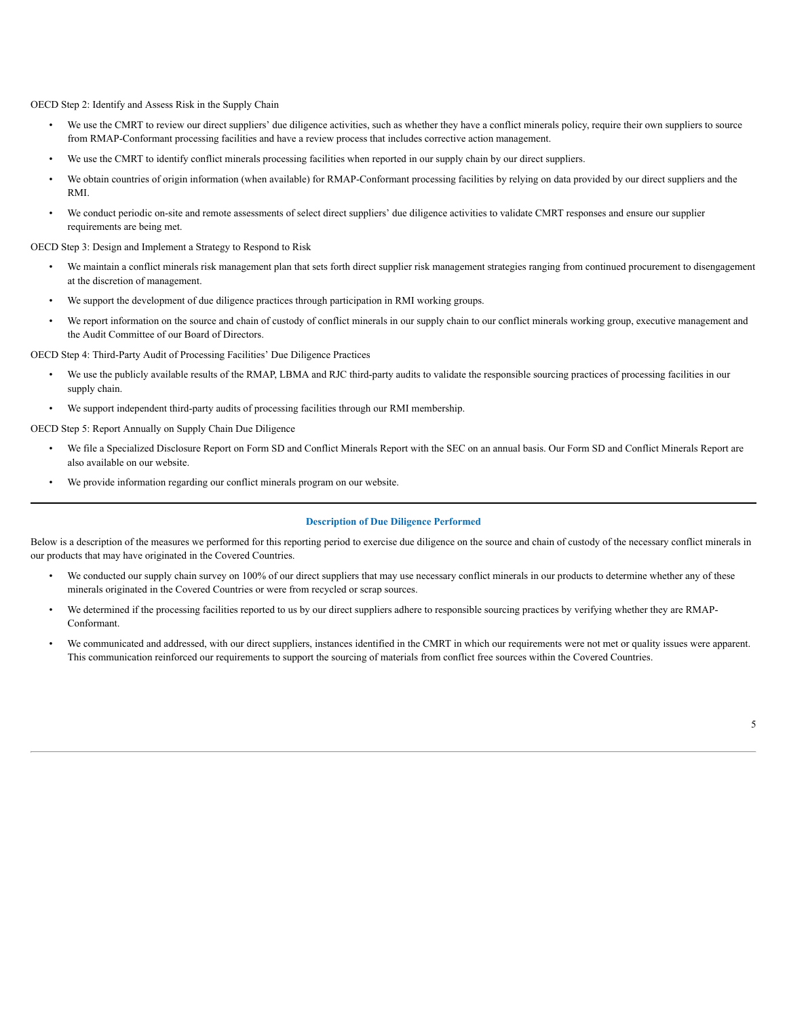OECD Step 2: Identify and Assess Risk in the Supply Chain

- We use the CMRT to review our direct suppliers' due diligence activities, such as whether they have a conflict minerals policy, require their own suppliers to source from RMAP-Conformant processing facilities and have a review process that includes corrective action management.
- We use the CMRT to identify conflict minerals processing facilities when reported in our supply chain by our direct suppliers.
- We obtain countries of origin information (when available) for RMAP-Conformant processing facilities by relying on data provided by our direct suppliers and the RMI.
- We conduct periodic on-site and remote assessments of select direct suppliers' due diligence activities to validate CMRT responses and ensure our supplier requirements are being met.

OECD Step 3: Design and Implement a Strategy to Respond to Risk

- We maintain a conflict minerals risk management plan that sets forth direct supplier risk management strategies ranging from continued procurement to disengagement at the discretion of management.
- We support the development of due diligence practices through participation in RMI working groups.
- We report information on the source and chain of custody of conflict minerals in our supply chain to our conflict minerals working group, executive management and the Audit Committee of our Board of Directors.

OECD Step 4: Third-Party Audit of Processing Facilities' Due Diligence Practices

- We use the publicly available results of the RMAP, LBMA and RJC third-party audits to validate the responsible sourcing practices of processing facilities in our supply chain.
- We support independent third-party audits of processing facilities through our RMI membership.

OECD Step 5: Report Annually on Supply Chain Due Diligence

- We file a Specialized Disclosure Report on Form SD and Conflict Minerals Report with the SEC on an annual basis. Our Form SD and Conflict Minerals Report are also available on our website.
- We provide information regarding our conflict minerals program on our website.

# **Description of Due Diligence Performed**

Below is a description of the measures we performed for this reporting period to exercise due diligence on the source and chain of custody of the necessary conflict minerals in our products that may have originated in the Covered Countries.

- We conducted our supply chain survey on 100% of our direct suppliers that may use necessary conflict minerals in our products to determine whether any of these minerals originated in the Covered Countries or were from recycled or scrap sources.
- We determined if the processing facilities reported to us by our direct suppliers adhere to responsible sourcing practices by verifying whether they are RMAP-Conformant.
- We communicated and addressed, with our direct suppliers, instances identified in the CMRT in which our requirements were not met or quality issues were apparent. This communication reinforced our requirements to support the sourcing of materials from conflict free sources within the Covered Countries.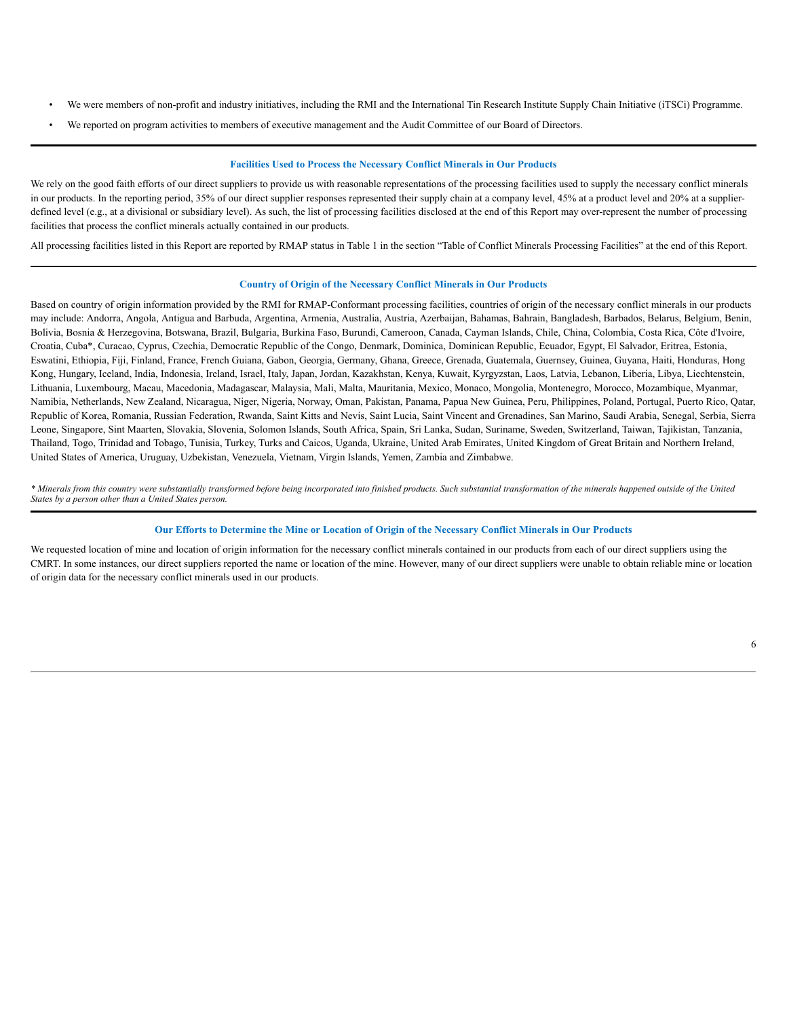- We were members of non-profit and industry initiatives, including the RMI and the International Tin Research Institute Supply Chain Initiative (iTSCi) Programme.
- We reported on program activities to members of executive management and the Audit Committee of our Board of Directors.

## **Facilities Used to Process the Necessary Conflict Minerals in Our Products**

We rely on the good faith efforts of our direct suppliers to provide us with reasonable representations of the processing facilities used to supply the necessary conflict minerals in our products. In the reporting period, 35% of our direct supplier responses represented their supply chain at a company level, 45% at a product level and 20% at a supplierdefined level (e.g., at a divisional or subsidiary level). As such, the list of processing facilities disclosed at the end of this Report may over-represent the number of processing facilities that process the conflict minerals actually contained in our products.

All processing facilities listed in this Report are reported by RMAP status in Table 1 in the section "Table of Conflict Minerals Processing Facilities" at the end of this Report.

### **Country of Origin of the Necessary Conflict Minerals in Our Products**

Based on country of origin information provided by the RMI for RMAP-Conformant processing facilities, countries of origin of the necessary conflict minerals in our products may include: Andorra, Angola, Antigua and Barbuda, Argentina, Armenia, Australia, Austria, Azerbaijan, Bahamas, Bahrain, Bangladesh, Barbados, Belarus, Belgium, Benin, Bolivia, Bosnia & Herzegovina, Botswana, Brazil, Bulgaria, Burkina Faso, Burundi, Cameroon, Canada, Cayman Islands, Chile, China, Colombia, Costa Rica, Côte d'Ivoire, Croatia, Cuba\*, Curacao, Cyprus, Czechia, Democratic Republic of the Congo, Denmark, Dominica, Dominican Republic, Ecuador, Egypt, El Salvador, Eritrea, Estonia, Eswatini, Ethiopia, Fiji, Finland, France, French Guiana, Gabon, Georgia, Germany, Ghana, Greece, Grenada, Guatemala, Guernsey, Guinea, Guyana, Haiti, Honduras, Hong Kong, Hungary, Iceland, India, Indonesia, Ireland, Israel, Italy, Japan, Jordan, Kazakhstan, Kenya, Kuwait, Kyrgyzstan, Laos, Latvia, Lebanon, Liberia, Libya, Liechtenstein, Lithuania, Luxembourg, Macau, Macedonia, Madagascar, Malaysia, Mali, Malta, Mauritania, Mexico, Monaco, Mongolia, Montenegro, Morocco, Mozambique, Myanmar, Namibia, Netherlands, New Zealand, Nicaragua, Niger, Nigeria, Norway, Oman, Pakistan, Panama, Papua New Guinea, Peru, Philippines, Poland, Portugal, Puerto Rico, Qatar, Republic of Korea, Romania, Russian Federation, Rwanda, Saint Kitts and Nevis, Saint Lucia, Saint Vincent and Grenadines, San Marino, Saudi Arabia, Senegal, Serbia, Sierra Leone, Singapore, Sint Maarten, Slovakia, Slovenia, Solomon Islands, South Africa, Spain, Sri Lanka, Sudan, Suriname, Sweden, Switzerland, Taiwan, Tajikistan, Tanzania, Thailand, Togo, Trinidad and Tobago, Tunisia, Turkey, Turks and Caicos, Uganda, Ukraine, United Arab Emirates, United Kingdom of Great Britain and Northern Ireland, United States of America, Uruguay, Uzbekistan, Venezuela, Vietnam, Virgin Islands, Yemen, Zambia and Zimbabwe.

*\* Minerals from this country were substantially transformed before being incorporated into finished products. Such substantial transformation of the minerals happened outside of the United States by a person other than a United States person.*

## Our Efforts to Determine the Mine or Location of Origin of the Necessary Conflict Minerals in Our Products

We requested location of mine and location of origin information for the necessary conflict minerals contained in our products from each of our direct suppliers using the CMRT. In some instances, our direct suppliers reported the name or location of the mine. However, many of our direct suppliers were unable to obtain reliable mine or location of origin data for the necessary conflict minerals used in our products.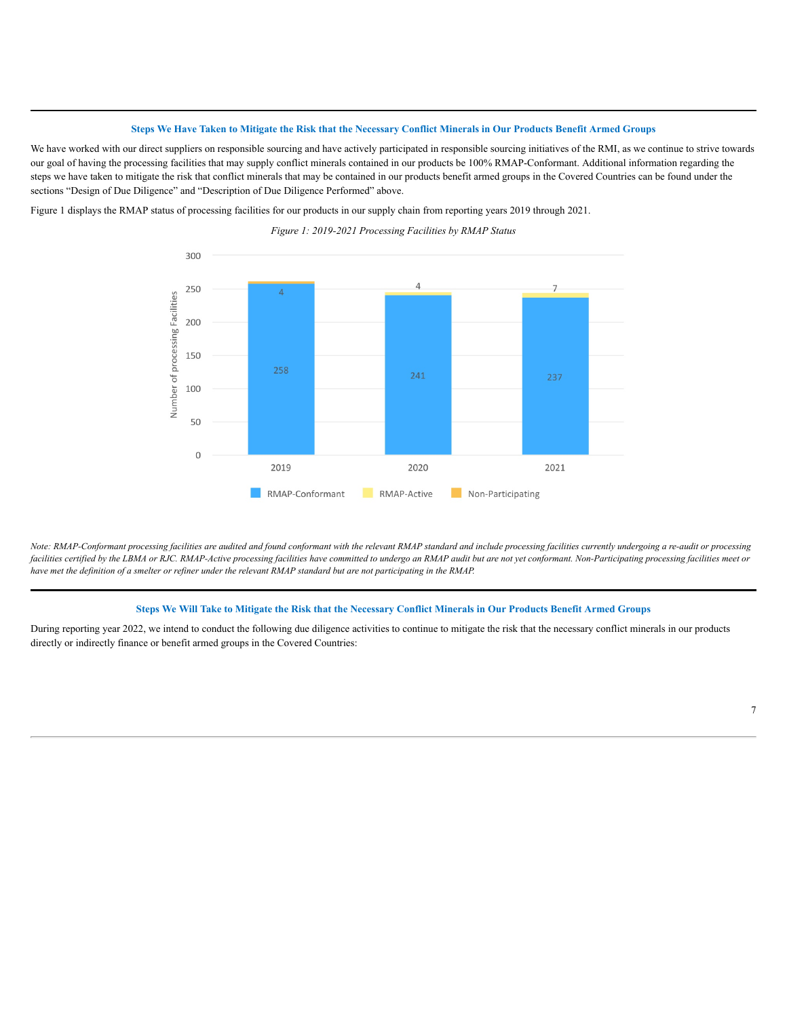## Steps We Have Taken to Mitigate the Risk that the Necessary Conflict Minerals in Our Products Benefit Armed Groups

We have worked with our direct suppliers on responsible sourcing and have actively participated in responsible sourcing initiatives of the RMI, as we continue to strive towards our goal of having the processing facilities that may supply conflict minerals contained in our products be 100% RMAP-Conformant. Additional information regarding the steps we have taken to mitigate the risk that conflict minerals that may be contained in our products benefit armed groups in the Covered Countries can be found under the sections "Design of Due Diligence" and "Description of Due Diligence Performed" above.

Figure 1 displays the RMAP status of processing facilities for our products in our supply chain from reporting years 2019 through 2021.

*Figure 1: 2019-2021 Processing Facilities by RMAP Status*



*Note: RMAP-Conformant processing facilities are audited and found conformant with the relevant RMAP standard and include processing facilities currently undergoing a re-audit or processing* facilities certified by the LBMA or RJC. RMAP-Active processing facilities have committed to undergo an RMAP audit but are not yet conformant. Non-Participating processing facilities meet or *have met the definition of a smelter or refiner under the relevant RMAP standard but are not participating in the RMAP.*

## Steps We Will Take to Mitigate the Risk that the Necessary Conflict Minerals in Our Products Benefit Armed Groups

During reporting year 2022, we intend to conduct the following due diligence activities to continue to mitigate the risk that the necessary conflict minerals in our products directly or indirectly finance or benefit armed groups in the Covered Countries: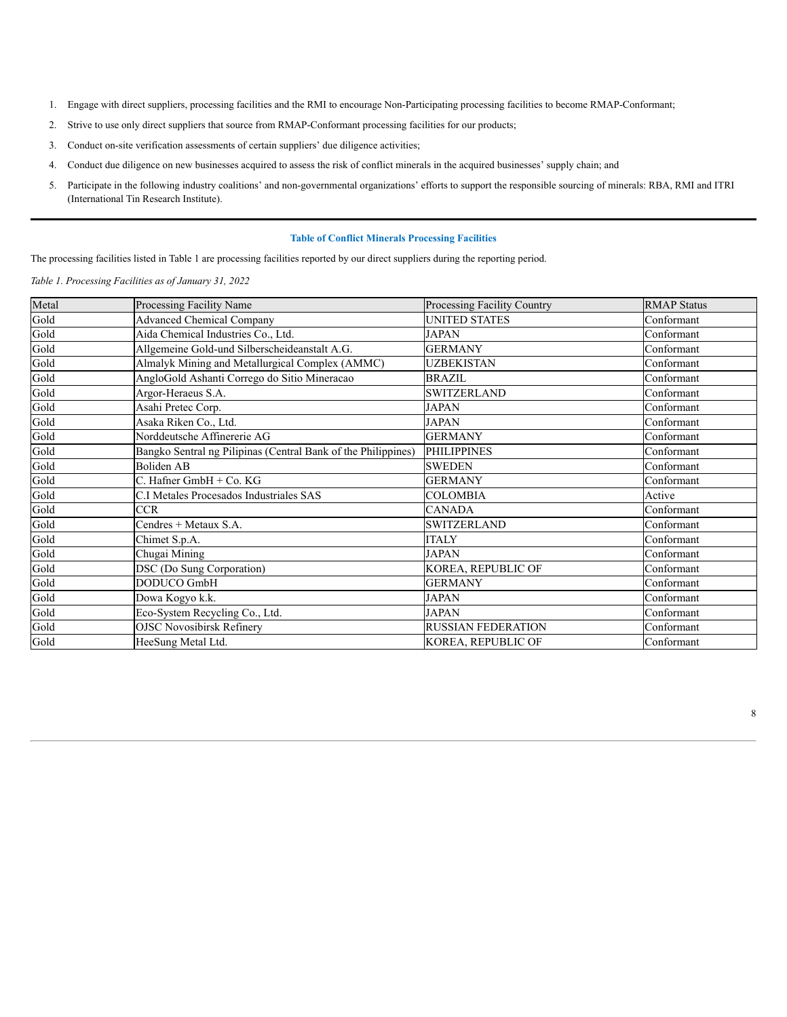- 1. Engage with direct suppliers, processing facilities and the RMI to encourage Non-Participating processing facilities to become RMAP-Conformant;
- 2. Strive to use only direct suppliers that source from RMAP-Conformant processing facilities for our products;
- 3. Conduct on-site verification assessments of certain suppliers' due diligence activities;
- 4. Conduct due diligence on new businesses acquired to assess the risk of conflict minerals in the acquired businesses' supply chain; and
- 5. Participate in the following industry coalitions' and non-governmental organizations' efforts to support the responsible sourcing of minerals: RBA, RMI and ITRI (International Tin Research Institute).

# **Table of Conflict Minerals Processing Facilities**

The processing facilities listed in Table 1 are processing facilities reported by our direct suppliers during the reporting period.

*Table 1. Processing Facilities as of January 31, 2022*

| Metal | Processing Facility Name                                      | Processing Facility Country | <b>RMAP Status</b> |
|-------|---------------------------------------------------------------|-----------------------------|--------------------|
| Gold  | <b>Advanced Chemical Company</b>                              | <b>UNITED STATES</b>        | Conformant         |
| Gold  | Aida Chemical Industries Co., Ltd.                            | <b>JAPAN</b>                | Conformant         |
| Gold  | Allgemeine Gold-und Silberscheideanstalt A.G.                 | <b>GERMANY</b>              | Conformant         |
| Gold  | Almalyk Mining and Metallurgical Complex (AMMC)               | UZBEKISTAN                  | Conformant         |
| Gold  | AngloGold Ashanti Corrego do Sitio Mineracao                  | <b>BRAZIL</b>               | Conformant         |
| Gold  | Argor-Heraeus S.A.                                            | <b>SWITZERLAND</b>          | Conformant         |
| Gold  | Asahi Pretec Corp.                                            | JAPAN                       | Conformant         |
| Gold  | Asaka Riken Co., Ltd.                                         | <b>JAPAN</b>                | Conformant         |
| Gold  | Norddeutsche Affinererie AG                                   | <b>GERMANY</b>              | Conformant         |
| Gold  | Bangko Sentral ng Pilipinas (Central Bank of the Philippines) | <b>PHILIPPINES</b>          | Conformant         |
| Gold  | <b>Boliden AB</b>                                             | <b>SWEDEN</b>               | Conformant         |
| Gold  | C. Hafner GmbH + Co. KG                                       | <b>GERMANY</b>              | Conformant         |
| Gold  | C.I Metales Procesados Industriales SAS                       | COLOMBIA                    | Active             |
| Gold  | <b>CCR</b>                                                    | <b>CANADA</b>               | Conformant         |
| Gold  | Cendres + Metaux S.A.                                         | <b>SWITZERLAND</b>          | Conformant         |
| Gold  | Chimet S.p.A.                                                 | <b>ITALY</b>                | Conformant         |
| Gold  | Chugai Mining                                                 | JAPAN                       | Conformant         |
| Gold  | DSC (Do Sung Corporation)                                     | KOREA, REPUBLIC OF          | Conformant         |
| Gold  | DODUCO GmbH                                                   | <b>GERMANY</b>              | Conformant         |
| Gold  | Dowa Kogyo k.k.                                               | <b>JAPAN</b>                | Conformant         |
| Gold  | Eco-System Recycling Co., Ltd.                                | <b>JAPAN</b>                | Conformant         |
| Gold  | <b>OJSC Novosibirsk Refinery</b>                              | <b>RUSSIAN FEDERATION</b>   | Conformant         |
| Gold  | HeeSung Metal Ltd.                                            | KOREA, REPUBLIC OF          | Conformant         |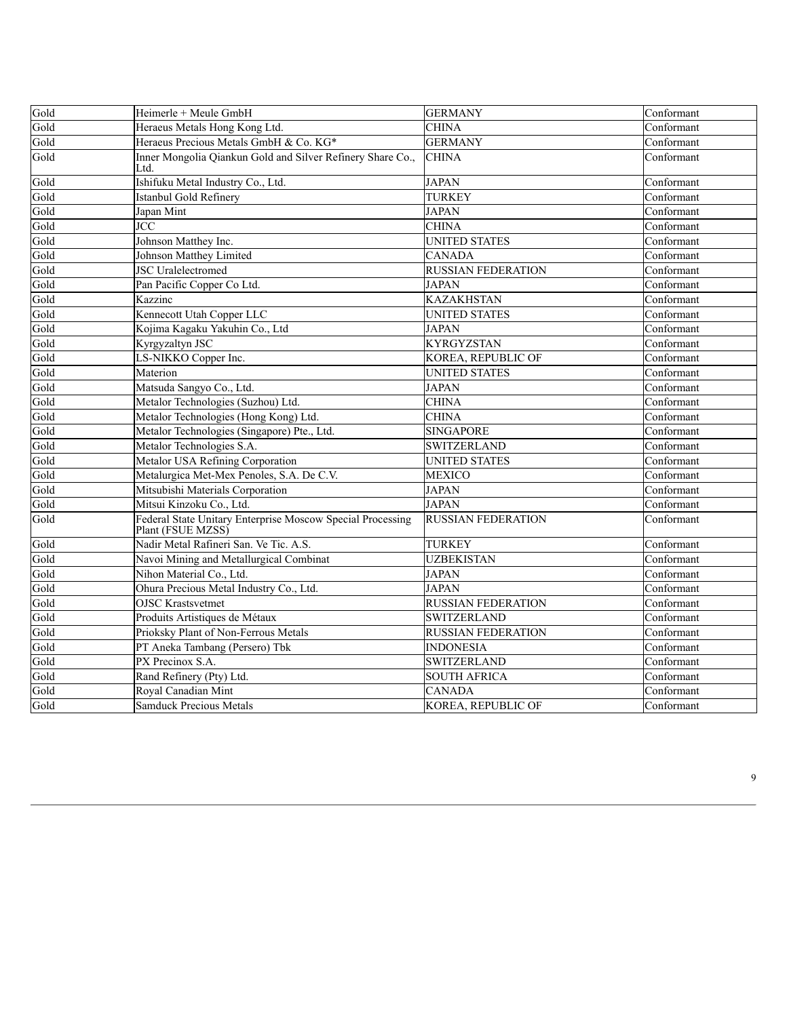| Gold | Heimerle + Meule GmbH                                                           | <b>GERMANY</b>            | Conformant |
|------|---------------------------------------------------------------------------------|---------------------------|------------|
| Gold | Heraeus Metals Hong Kong Ltd.                                                   | <b>CHINA</b>              | Conformant |
| Gold | Heraeus Precious Metals GmbH & Co. KG*                                          | <b>GERMANY</b>            | Conformant |
| Gold | Inner Mongolia Qiankun Gold and Silver Refinery Share Co.,<br>Ltd.              | <b>CHINA</b>              | Conformant |
| Gold | Ishifuku Metal Industry Co., Ltd.                                               | <b>JAPAN</b>              | Conformant |
| Gold | Istanbul Gold Refinery                                                          | <b>TURKEY</b>             | Conformant |
| Gold | Japan Mint                                                                      | <b>JAPAN</b>              | Conformant |
| Gold | JCC                                                                             | <b>CHINA</b>              | Conformant |
| Gold | Johnson Matthey Inc.                                                            | <b>UNITED STATES</b>      | Conformant |
| Gold | Johnson Matthey Limited                                                         | <b>CANADA</b>             | Conformant |
| Gold | <b>JSC</b> Uralelectromed                                                       | <b>RUSSIAN FEDERATION</b> | Conformant |
| Gold | Pan Pacific Copper Co Ltd.                                                      | <b>JAPAN</b>              | Conformant |
| Gold | Kazzinc                                                                         | <b>KAZAKHSTAN</b>         | Conformant |
| Gold | Kennecott Utah Copper LLC                                                       | <b>UNITED STATES</b>      | Conformant |
| Gold | Kojima Kagaku Yakuhin Co., Ltd                                                  | <b>JAPAN</b>              | Conformant |
| Gold | Kyrgyzaltyn JSC                                                                 | <b>KYRGYZSTAN</b>         | Conformant |
| Gold | LS-NIKKO Copper Inc.                                                            | KOREA, REPUBLIC OF        | Conformant |
| Gold | Materion                                                                        | <b>UNITED STATES</b>      | Conformant |
| Gold | Matsuda Sangyo Co., Ltd.                                                        | <b>JAPAN</b>              | Conformant |
| Gold | Metalor Technologies (Suzhou) Ltd.                                              | <b>CHINA</b>              | Conformant |
| Gold | Metalor Technologies (Hong Kong) Ltd.                                           | <b>CHINA</b>              | Conformant |
| Gold | Metalor Technologies (Singapore) Pte., Ltd.                                     | <b>SINGAPORE</b>          | Conformant |
| Gold | Metalor Technologies S.A.                                                       | <b>SWITZERLAND</b>        | Conformant |
| Gold | Metalor USA Refining Corporation                                                | <b>UNITED STATES</b>      | Conformant |
| Gold | Metalurgica Met-Mex Penoles, S.A. De C.V.                                       | <b>MEXICO</b>             | Conformant |
| Gold | Mitsubishi Materials Corporation                                                | <b>JAPAN</b>              | Conformant |
| Gold | Mitsui Kinzoku Co., Ltd.                                                        | <b>JAPAN</b>              | Conformant |
| Gold | Federal State Unitary Enterprise Moscow Special Processing<br>Plant (FSUE MZSS) | <b>RUSSIAN FEDERATION</b> | Conformant |
| Gold | Nadir Metal Rafineri San. Ve Tic. A.S.                                          | <b>TURKEY</b>             | Conformant |
| Gold | Navoi Mining and Metallurgical Combinat                                         | <b>UZBEKISTAN</b>         | Conformant |
| Gold | Nihon Material Co., Ltd.                                                        | <b>JAPAN</b>              | Conformant |
| Gold | Ohura Precious Metal Industry Co., Ltd.                                         | <b>JAPAN</b>              | Conformant |
| Gold | <b>OJSC Krastsvetmet</b>                                                        | <b>RUSSIAN FEDERATION</b> | Conformant |
| Gold | Produits Artistiques de Métaux                                                  | <b>SWITZERLAND</b>        | Conformant |
| Gold | Prioksky Plant of Non-Ferrous Metals                                            | <b>RUSSIAN FEDERATION</b> | Conformant |
| Gold | PT Aneka Tambang (Persero) Tbk                                                  | <b>INDONESIA</b>          | Conformant |
| Gold | PX Precinox S.A.                                                                | <b>SWITZERLAND</b>        | Conformant |
| Gold | Rand Refinery (Pty) Ltd.                                                        | <b>SOUTH AFRICA</b>       | Conformant |
| Gold | Royal Canadian Mint                                                             | <b>CANADA</b>             | Conformant |
| Gold | <b>Samduck Precious Metals</b>                                                  | KOREA, REPUBLIC OF        | Conformant |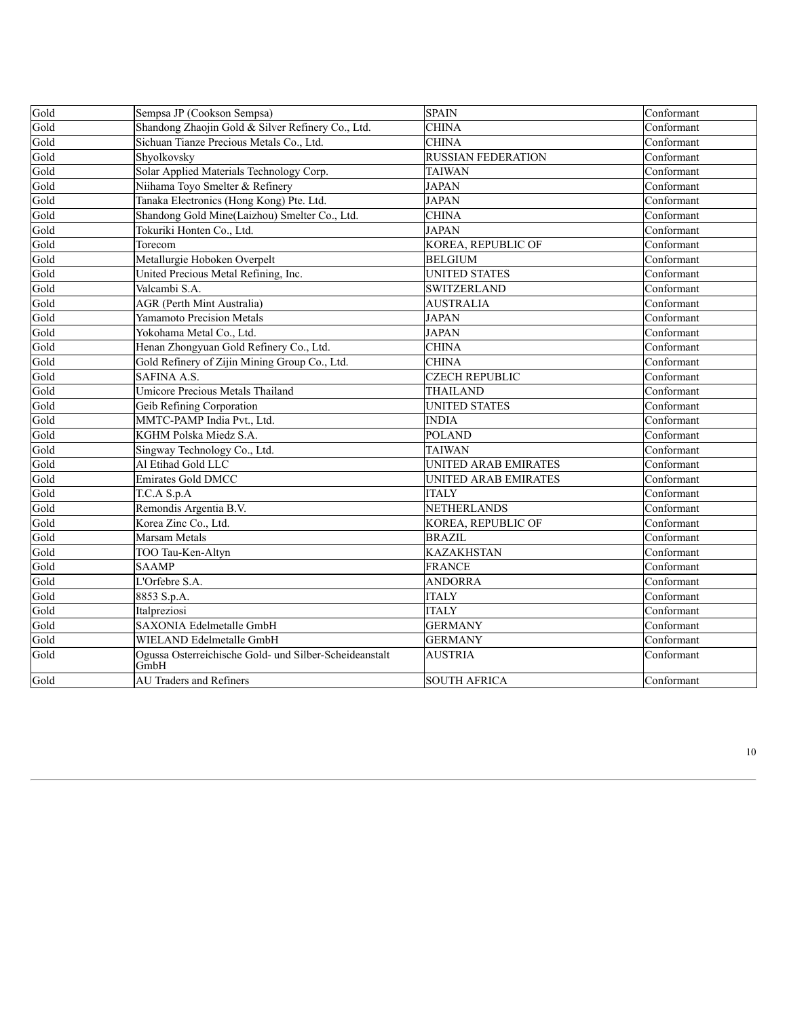| Gold | Sempsa JP (Cookson Sempsa)                                     | <b>SPAIN</b>              | Conformant |
|------|----------------------------------------------------------------|---------------------------|------------|
| Gold | Shandong Zhaojin Gold & Silver Refinery Co., Ltd.              | <b>CHINA</b>              | Conformant |
| Gold | Sichuan Tianze Precious Metals Co., Ltd.                       | <b>CHINA</b>              | Conformant |
| Gold | Shyolkovsky                                                    | <b>RUSSIAN FEDERATION</b> | Conformant |
| Gold | Solar Applied Materials Technology Corp.                       | <b>TAIWAN</b>             | Conformant |
| Gold | Niihama Toyo Smelter & Refinery                                | <b>JAPAN</b>              | Conformant |
| Gold | Tanaka Electronics (Hong Kong) Pte. Ltd.                       | <b>JAPAN</b>              | Conformant |
| Gold | Shandong Gold Mine(Laizhou) Smelter Co., Ltd.                  | <b>CHINA</b>              | Conformant |
| Gold | Tokuriki Honten Co., Ltd.                                      | <b>JAPAN</b>              | Conformant |
| Gold | Torecom                                                        | KOREA, REPUBLIC OF        | Conformant |
| Gold | Metallurgie Hoboken Overpelt                                   | <b>BELGIUM</b>            | Conformant |
| Gold | United Precious Metal Refining, Inc.                           | <b>UNITED STATES</b>      | Conformant |
| Gold | Valcambi S.A.                                                  | <b>SWITZERLAND</b>        | Conformant |
| Gold | <b>AGR</b> (Perth Mint Australia)                              | <b>AUSTRALIA</b>          | Conformant |
| Gold | <b>Yamamoto Precision Metals</b>                               | <b>JAPAN</b>              | Conformant |
| Gold | Yokohama Metal Co., Ltd.                                       | <b>JAPAN</b>              | Conformant |
| Gold | Henan Zhongyuan Gold Refinery Co., Ltd.                        | <b>CHINA</b>              | Conformant |
| Gold | Gold Refinery of Zijin Mining Group Co., Ltd.                  | <b>CHINA</b>              | Conformant |
| Gold | SAFINA A.S.                                                    | <b>CZECH REPUBLIC</b>     | Conformant |
| Gold | <b>Umicore Precious Metals Thailand</b>                        | THAILAND                  | Conformant |
| Gold | Geib Refining Corporation                                      | <b>UNITED STATES</b>      | Conformant |
| Gold | MMTC-PAMP India Pvt., Ltd.                                     | <b>INDIA</b>              | Conformant |
| Gold | KGHM Polska Miedz S.A.                                         | <b>POLAND</b>             | Conformant |
| Gold | Singway Technology Co., Ltd.                                   | <b>TAIWAN</b>             | Conformant |
| Gold | Al Etihad Gold LLC                                             | UNITED ARAB EMIRATES      | Conformant |
| Gold | <b>Emirates Gold DMCC</b>                                      | UNITED ARAB EMIRATES      | Conformant |
| Gold | T.C.A S.p.A                                                    | <b>ITALY</b>              | Conformant |
| Gold | Remondis Argentia B.V.                                         | NETHERLANDS               | Conformant |
| Gold | Korea Zinc Co., Ltd.                                           | KOREA, REPUBLIC OF        | Conformant |
| Gold | Marsam Metals                                                  | <b>BRAZIL</b>             | Conformant |
| Gold | TOO Tau-Ken-Altyn                                              | <b>KAZAKHSTAN</b>         | Conformant |
| Gold | <b>SAAMP</b>                                                   | <b>FRANCE</b>             | Conformant |
| Gold | L'Orfebre S.A.                                                 | <b>ANDORRA</b>            | Conformant |
| Gold | 8853 S.p.A.                                                    | <b>ITALY</b>              | Conformant |
| Gold | Italpreziosi                                                   | <b>ITALY</b>              | Conformant |
| Gold | <b>SAXONIA Edelmetalle GmbH</b>                                | <b>GERMANY</b>            | Conformant |
| Gold | WIELAND Edelmetalle GmbH                                       | <b>GERMANY</b>            | Conformant |
| Gold | Ogussa Osterreichische Gold- und Silber-Scheideanstalt<br>GmbH | <b>AUSTRIA</b>            | Conformant |
| Gold | <b>AU Traders and Refiners</b>                                 | <b>SOUTH AFRICA</b>       | Conformant |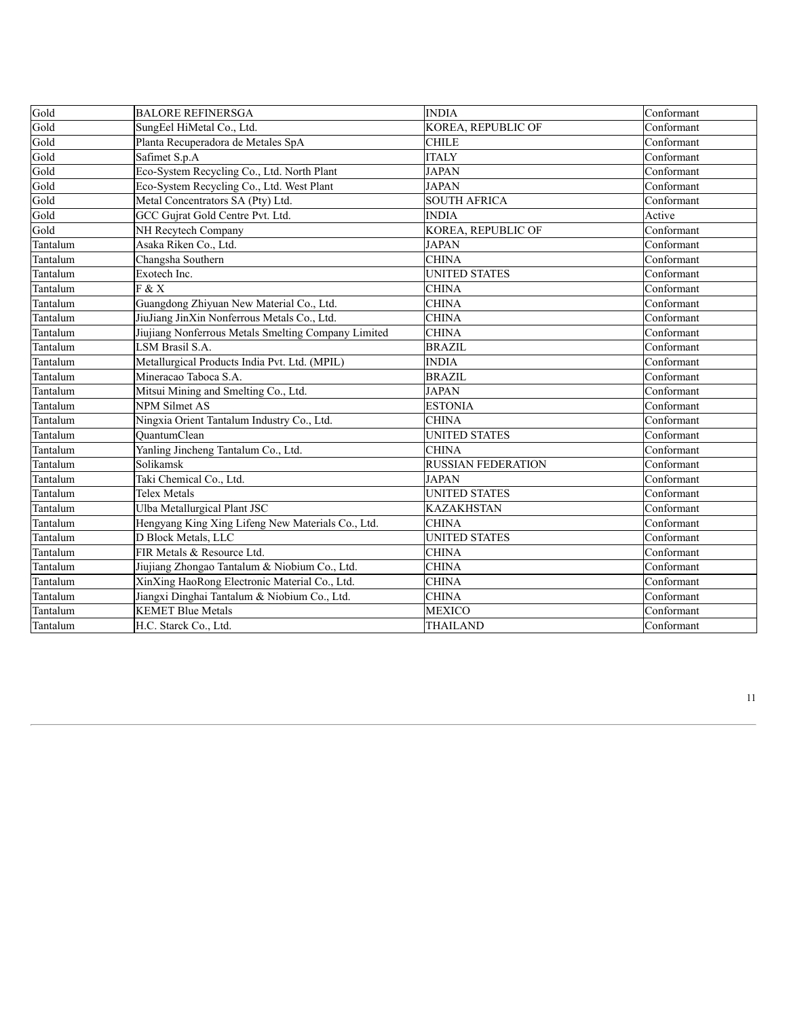| Gold     | <b>BALORE REFINERSGA</b>                            | <b>INDIA</b>              | Conformant |
|----------|-----------------------------------------------------|---------------------------|------------|
| Gold     | SungEel HiMetal Co., Ltd.                           | KOREA, REPUBLIC OF        | Conformant |
| Gold     | Planta Recuperadora de Metales SpA                  | <b>CHILE</b>              | Conformant |
| Gold     | Safimet S.p.A                                       | <b>ITALY</b>              | Conformant |
| Gold     | Eco-System Recycling Co., Ltd. North Plant          | <b>JAPAN</b>              | Conformant |
| Gold     | Eco-System Recycling Co., Ltd. West Plant           | <b>JAPAN</b>              | Conformant |
| Gold     | Metal Concentrators SA (Pty) Ltd.                   | <b>SOUTH AFRICA</b>       | Conformant |
| Gold     | GCC Gujrat Gold Centre Pvt. Ltd.                    | <b>INDIA</b>              | Active     |
| Gold     | NH Recytech Company                                 | KOREA, REPUBLIC OF        | Conformant |
| Tantalum | Asaka Riken Co., Ltd.                               | <b>JAPAN</b>              | Conformant |
| Tantalum | Changsha Southern                                   | <b>CHINA</b>              | Conformant |
| Tantalum | Exotech Inc.                                        | <b>UNITED STATES</b>      | Conformant |
| Tantalum | F & X                                               | <b>CHINA</b>              | Conformant |
| Tantalum | Guangdong Zhiyuan New Material Co., Ltd.            | <b>CHINA</b>              | Conformant |
| Tantalum | JiuJiang JinXin Nonferrous Metals Co., Ltd.         | <b>CHINA</b>              | Conformant |
| Tantalum | Jiujiang Nonferrous Metals Smelting Company Limited | <b>CHINA</b>              | Conformant |
| Tantalum | LSM Brasil S.A.                                     | <b>BRAZIL</b>             | Conformant |
| Tantalum | Metallurgical Products India Pvt. Ltd. (MPIL)       | <b>INDIA</b>              | Conformant |
| Tantalum | Mineracao Taboca S.A.                               | <b>BRAZIL</b>             | Conformant |
| Tantalum | Mitsui Mining and Smelting Co., Ltd.                | <b>JAPAN</b>              | Conformant |
| Tantalum | <b>NPM</b> Silmet AS                                | <b>ESTONIA</b>            | Conformant |
| Tantalum | Ningxia Orient Tantalum Industry Co., Ltd.          | <b>CHINA</b>              | Conformant |
| Tantalum | <b>OuantumClean</b>                                 | <b>UNITED STATES</b>      | Conformant |
| Tantalum | Yanling Jincheng Tantalum Co., Ltd.                 | <b>CHINA</b>              | Conformant |
| Tantalum | Solikamsk                                           | <b>RUSSIAN FEDERATION</b> | Conformant |
| Tantalum | Taki Chemical Co., Ltd.                             | <b>JAPAN</b>              | Conformant |
| Tantalum | Telex Metals                                        | <b>UNITED STATES</b>      | Conformant |
| Tantalum | Ulba Metallurgical Plant JSC                        | <b>KAZAKHSTAN</b>         | Conformant |
| Tantalum | Hengyang King Xing Lifeng New Materials Co., Ltd.   | <b>CHINA</b>              | Conformant |
| Tantalum | D Block Metals, LLC                                 | <b>UNITED STATES</b>      | Conformant |
| Tantalum | FIR Metals & Resource Ltd.                          | <b>CHINA</b>              | Conformant |
| Tantalum | Jiujiang Zhongao Tantalum & Niobium Co., Ltd.       | <b>CHINA</b>              | Conformant |
| Tantalum | XinXing HaoRong Electronic Material Co., Ltd.       | <b>CHINA</b>              | Conformant |
| Tantalum | Jiangxi Dinghai Tantalum & Niobium Co., Ltd.        | <b>CHINA</b>              | Conformant |
| Tantalum | <b>KEMET Blue Metals</b>                            | <b>MEXICO</b>             | Conformant |
| Tantalum | H.C. Starck Co., Ltd.                               | <b>THAILAND</b>           | Conformant |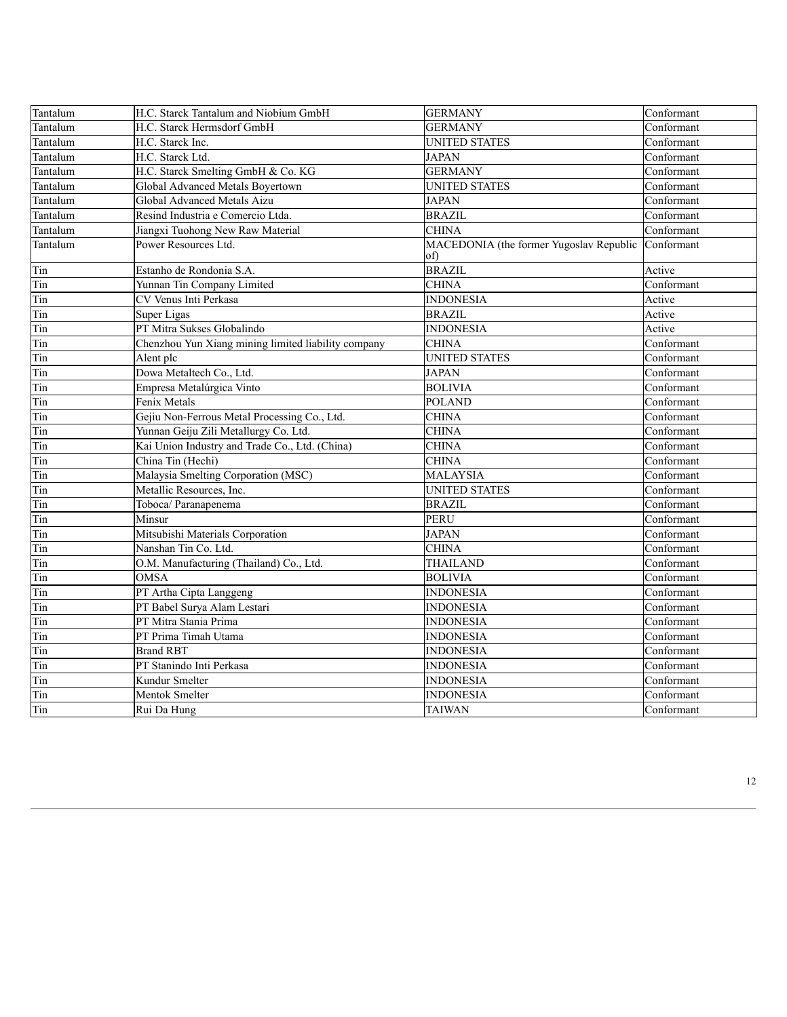| Tantalum | H.C. Starck Tantalum and Niobium GmbH               | <b>GERMANY</b>                                 | Conformant |
|----------|-----------------------------------------------------|------------------------------------------------|------------|
| Tantalum | H.C. Starck Hermsdorf GmbH                          | <b>GERMANY</b>                                 | Conformant |
| Tantalum | H.C. Starck Inc.                                    | <b>UNITED STATES</b>                           | Conformant |
| Tantalum | H.C. Starck Ltd.                                    | <b>JAPAN</b>                                   | Conformant |
| Tantalum | H.C. Starck Smelting GmbH & Co. KG                  | <b>GERMANY</b>                                 | Conformant |
| Tantalum | Global Advanced Metals Boyertown                    | <b>UNITED STATES</b>                           | Conformant |
| Tantalum | Global Advanced Metals Aizu                         | <b>JAPAN</b>                                   | Conformant |
| Tantalum | Resind Industria e Comercio Ltda.                   | <b>BRAZIL</b>                                  | Conformant |
| Tantalum | Jiangxi Tuohong New Raw Material                    | <b>CHINA</b>                                   | Conformant |
| Tantalum | Power Resources Ltd.                                | MACEDONIA (the former Yugoslav Republic<br>of) | Conformant |
| Tin      | Estanho de Rondonia S.A.                            | <b>BRAZIL</b>                                  | Active     |
| Tin      | Yunnan Tin Company Limited                          | <b>CHINA</b>                                   | Conformant |
| Tin      | CV Venus Inti Perkasa                               | <b>INDONESIA</b>                               | Active     |
| Tin      | Super Ligas                                         | <b>BRAZIL</b>                                  | Active     |
| Tin      | PT Mitra Sukses Globalindo                          | <b>INDONESIA</b>                               | Active     |
| Tin      | Chenzhou Yun Xiang mining limited liability company | <b>CHINA</b>                                   | Conformant |
| Tin      | Alent plc                                           | <b>UNITED STATES</b>                           | Conformant |
| Tin      | Dowa Metaltech Co., Ltd.                            | <b>JAPAN</b>                                   | Conformant |
| Tin      | Empresa Metalúrgica Vinto                           | <b>BOLIVIA</b>                                 | Conformant |
| Tin      | Fenix Metals                                        | <b>POLAND</b>                                  | Conformant |
| Tin      | Gejiu Non-Ferrous Metal Processing Co., Ltd.        | <b>CHINA</b>                                   | Conformant |
| Tin      | Yunnan Geiju Zili Metallurgy Co. Ltd.               | <b>CHINA</b>                                   | Conformant |
| Tin      | Kai Union Industry and Trade Co., Ltd. (China)      | <b>CHINA</b>                                   | Conformant |
| Tin      | China Tin (Hechi)                                   | <b>CHINA</b>                                   | Conformant |
| Tin      | Malaysia Smelting Corporation (MSC)                 | <b>MALAYSIA</b>                                | Conformant |
| Tin      | Metallic Resources, Inc.                            | <b>UNITED STATES</b>                           | Conformant |
| Tin      | Toboca/ Paranapenema                                | <b>BRAZIL</b>                                  | Conformant |
| Tin      | Minsur                                              | <b>PERU</b>                                    | Conformant |
| Tin      | Mitsubishi Materials Corporation                    | <b>JAPAN</b>                                   | Conformant |
| Tin      | Nanshan Tin Co. Ltd.                                | <b>CHINA</b>                                   | Conformant |
| Tin      | O.M. Manufacturing (Thailand) Co., Ltd.             | <b>THAILAND</b>                                | Conformant |
| Tin      | <b>OMSA</b>                                         | <b>BOLIVIA</b>                                 | Conformant |
| Tin      | PT Artha Cipta Langgeng                             | <b>INDONESIA</b>                               | Conformant |
| Tin      | PT Babel Surya Alam Lestari                         | <b>INDONESIA</b>                               | Conformant |
| Tin      | PT Mitra Stania Prima                               | <b>INDONESIA</b>                               | Conformant |
| Tin      | PT Prima Timah Utama                                | <b>INDONESIA</b>                               | Conformant |
| Tin      | <b>Brand RBT</b>                                    | <b>INDONESIA</b>                               | Conformant |
| Tin      | PT Stanindo Inti Perkasa                            | <b>INDONESIA</b>                               | Conformant |
| Tin      | Kundur Smelter                                      | <b>INDONESIA</b>                               | Conformant |
| Tin      | Mentok Smelter                                      | <b>INDONESIA</b>                               | Conformant |
| Tin      | Rui Da Hung                                         | <b>TAIWAN</b>                                  | Conformant |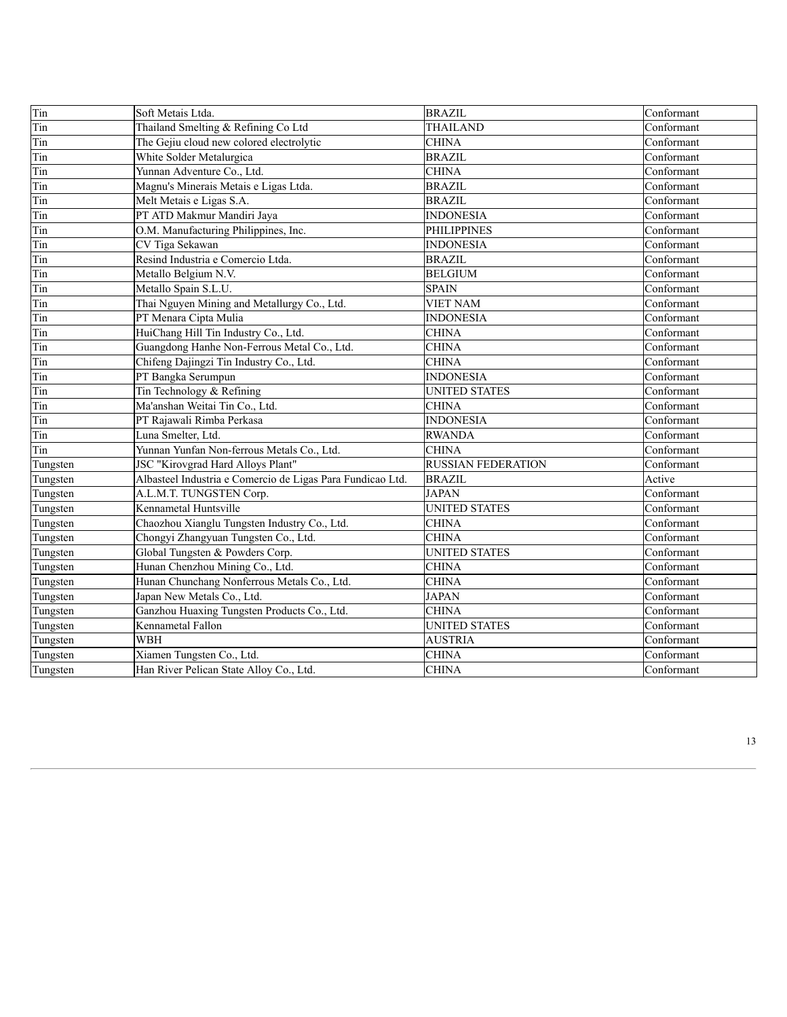| Tin      | Soft Metais Ltda.                                          | <b>BRAZIL</b>             | Conformant |
|----------|------------------------------------------------------------|---------------------------|------------|
| Tin      | Thailand Smelting & Refining Co Ltd                        | <b>THAILAND</b>           | Conformant |
| Tin      | The Gejiu cloud new colored electrolytic                   | <b>CHINA</b>              | Conformant |
| Tin      | White Solder Metalurgica                                   | <b>BRAZIL</b>             | Conformant |
| Tin      | Yunnan Adventure Co., Ltd.                                 | <b>CHINA</b>              | Conformant |
| Tin      | Magnu's Minerais Metais e Ligas Ltda.                      | <b>BRAZIL</b>             | Conformant |
| Tin      | Melt Metais e Ligas S.A.                                   | <b>BRAZIL</b>             | Conformant |
| Tin      | PT ATD Makmur Mandiri Jaya                                 | <b>INDONESIA</b>          | Conformant |
| Tin      | O.M. Manufacturing Philippines, Inc.                       | <b>PHILIPPINES</b>        | Conformant |
| Tin      | CV Tiga Sekawan                                            | <b>INDONESIA</b>          | Conformant |
| Tin      | Resind Industria e Comercio Ltda.                          | <b>BRAZIL</b>             | Conformant |
| Tin      | Metallo Belgium N.V.                                       | <b>BELGIUM</b>            | Conformant |
| Tin      | Metallo Spain S.L.U.                                       | <b>SPAIN</b>              | Conformant |
| Tin      | Thai Nguyen Mining and Metallurgy Co., Ltd.                | <b>VIET NAM</b>           | Conformant |
| Tin      | PT Menara Cipta Mulia                                      | <b>INDONESIA</b>          | Conformant |
| Tin      | HuiChang Hill Tin Industry Co., Ltd.                       | <b>CHINA</b>              | Conformant |
| Tin      | Guangdong Hanhe Non-Ferrous Metal Co., Ltd.                | <b>CHINA</b>              | Conformant |
| Tin      | Chifeng Dajingzi Tin Industry Co., Ltd.                    | <b>CHINA</b>              | Conformant |
| Tin      | PT Bangka Serumpun                                         | <b>INDONESIA</b>          | Conformant |
| Tin      | Tin Technology & Refining                                  | <b>UNITED STATES</b>      | Conformant |
| Tin      | Ma'anshan Weitai Tin Co., Ltd.                             | <b>CHINA</b>              | Conformant |
| Tin      | PT Rajawali Rimba Perkasa                                  | <b>INDONESIA</b>          | Conformant |
| Tin      | Luna Smelter, Ltd.                                         | <b>RWANDA</b>             | Conformant |
| Tin      | Yunnan Yunfan Non-ferrous Metals Co., Ltd.                 | <b>CHINA</b>              | Conformant |
| Tungsten | JSC "Kirovgrad Hard Alloys Plant"                          | <b>RUSSIAN FEDERATION</b> | Conformant |
| Tungsten | Albasteel Industria e Comercio de Ligas Para Fundicao Ltd. | <b>BRAZIL</b>             | Active     |
| Tungsten | A.L.M.T. TUNGSTEN Corp.                                    | <b>JAPAN</b>              | Conformant |
| Tungsten | Kennametal Huntsville                                      | <b>UNITED STATES</b>      | Conformant |
| Tungsten | Chaozhou Xianglu Tungsten Industry Co., Ltd.               | <b>CHINA</b>              | Conformant |
| Tungsten | Chongyi Zhangyuan Tungsten Co., Ltd.                       | <b>CHINA</b>              | Conformant |
| Tungsten | Global Tungsten & Powders Corp.                            | <b>UNITED STATES</b>      | Conformant |
| Tungsten | Hunan Chenzhou Mining Co., Ltd.                            | <b>CHINA</b>              | Conformant |
| Tungsten | Hunan Chunchang Nonferrous Metals Co., Ltd.                | <b>CHINA</b>              | Conformant |
| Tungsten | Japan New Metals Co., Ltd.                                 | <b>JAPAN</b>              | Conformant |
| Tungsten | Ganzhou Huaxing Tungsten Products Co., Ltd.                | <b>CHINA</b>              | Conformant |
| Tungsten | Kennametal Fallon                                          | <b>UNITED STATES</b>      | Conformant |
| Tungsten | <b>WBH</b>                                                 | <b>AUSTRIA</b>            | Conformant |
| Tungsten | Xiamen Tungsten Co., Ltd.                                  | <b>CHINA</b>              | Conformant |
| Tungsten | Han River Pelican State Alloy Co., Ltd.                    | <b>CHINA</b>              | Conformant |